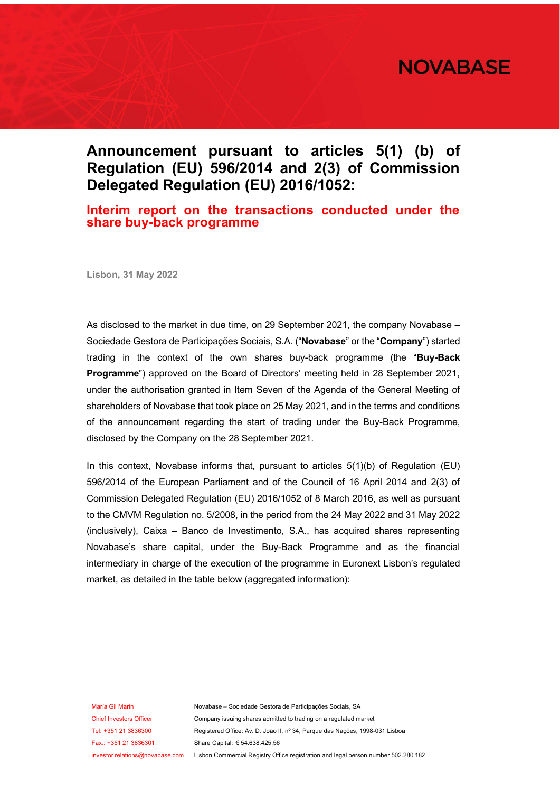

## **Announcement pursuant to articles 5(1) (b) of Regulation (EU) 596/2014 and 2(3) of Commission Delegated Regulation (EU) 2016/1052:**

## **Interim report on the transactions conducted under the share buy-back programme**

**Lisbon, 31 May 2022** 

As disclosed to the market in due time, on 29 September 2021, the company Novabase – Sociedade Gestora de Participações Sociais, S.A. ("**Novabase**" or the "**Company**") started trading in the context of the own shares buy-back programme (the "**Buy-Back Programme**") approved on the Board of Directors' meeting held in 28 September 2021, under the authorisation granted in Item Seven of the Agenda of the General Meeting of shareholders of Novabase that took place on 25 May 2021, and in the terms and conditions of the announcement regarding the start of trading under the Buy-Back Programme, disclosed by the Company on the 28 September 2021.

In this context, Novabase informs that, pursuant to articles  $5(1)(b)$  of Regulation (EU) 596/2014 of the European Parliament and of the Council of 16 April 2014 and 2(3) of Commission Delegated Regulation (EU) 2016/1052 of 8 March 2016, as well as pursuant to the CMVM Regulation no. 5/2008, in the period from the 24 May 2022 and 31 May 2022 (inclusively), Caixa – Banco de Investimento, S.A., has acquired shares representing Novabase's share capital, under the Buy-Back Programme and as the financial intermediary in charge of the execution of the programme in Euronext Lisbon's regulated market, as detailed in the table below (aggregated information):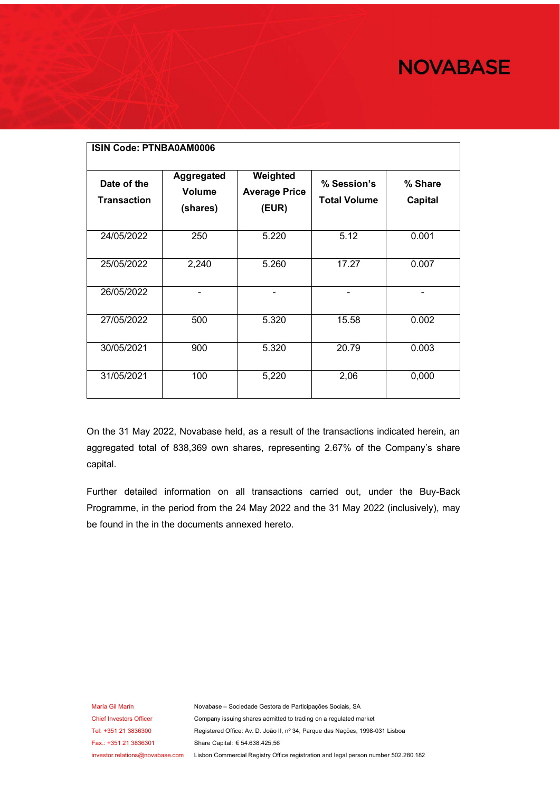## **NOVABASE**

| <b>ISIN Code: PTNBA0AM0006</b><br>Date of the<br><b>Transaction</b> | Aggregated<br><b>Volume</b><br>(shares) | Weighted<br><b>Average Price</b><br>(EUR) | % Session's<br><b>Total Volume</b> | % Share<br><b>Capital</b> |  |  |
|---------------------------------------------------------------------|-----------------------------------------|-------------------------------------------|------------------------------------|---------------------------|--|--|
| 24/05/2022                                                          | 250                                     | 5.220                                     | 5.12                               | 0.001                     |  |  |
| 25/05/2022                                                          | 2,240                                   | 5.260                                     | 17.27                              | 0.007                     |  |  |
| 26/05/2022                                                          |                                         | -                                         | -                                  |                           |  |  |
| 27/05/2022                                                          | 500                                     | 5.320                                     | 15.58                              | 0.002                     |  |  |
| 30/05/2021                                                          | 900                                     | 5.320                                     | 20.79                              | 0.003                     |  |  |
| 31/05/2021                                                          | 100                                     | 5,220                                     | 2,06                               | 0,000                     |  |  |

On the 31 May 2022, Novabase held, as a result of the transactions indicated herein, an aggregated total of 838,369 own shares, representing 2.67% of the Company's share capital.

Further detailed information on all transactions carried out, under the Buy-Back Programme, in the period from the 24 May 2022 and the 31 May 2022 (inclusively), may be found in the in the documents annexed hereto.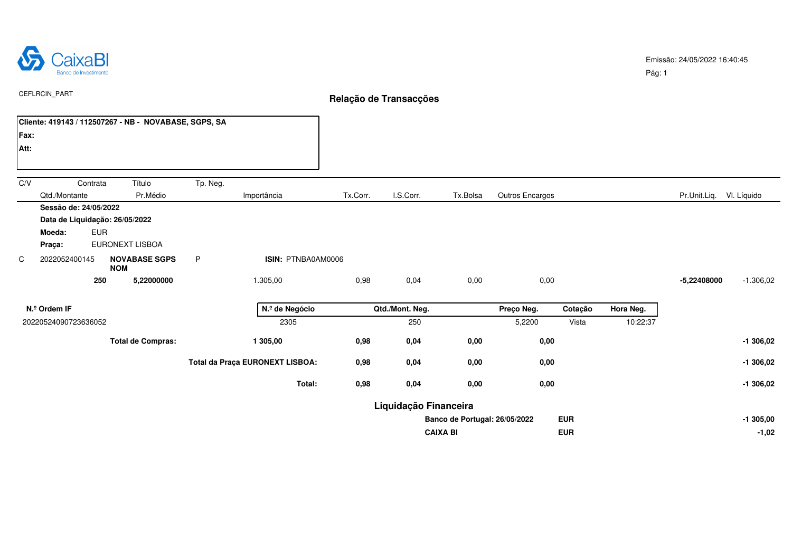

Pág: 1

|      | CEFLRCIN_PART                                                               |            |                                                       |          |                                 | Relação de Transacções |                       |                               |                 |            |           |                          |             |  |  |
|------|-----------------------------------------------------------------------------|------------|-------------------------------------------------------|----------|---------------------------------|------------------------|-----------------------|-------------------------------|-----------------|------------|-----------|--------------------------|-------------|--|--|
|      |                                                                             |            | Cliente: 419143 / 112507267 - NB - NOVABASE, SGPS, SA |          |                                 |                        |                       |                               |                 |            |           |                          |             |  |  |
| Fax: |                                                                             |            |                                                       |          |                                 |                        |                       |                               |                 |            |           |                          |             |  |  |
| Att: |                                                                             |            |                                                       |          |                                 |                        |                       |                               |                 |            |           |                          |             |  |  |
| C/V  |                                                                             | Contrata   | Título                                                | Tp. Neg. |                                 |                        |                       |                               |                 |            |           |                          |             |  |  |
|      | Qtd./Montante                                                               |            | Pr.Médio                                              |          | Importância                     | Tx.Corr.               | I.S.Corr.             | Tx.Bolsa                      | Outros Encargos |            |           | Pr.Unit.Liq. VI. Líquido |             |  |  |
|      | Sessão de: 24/05/2022<br>Data de Liquidação: 26/05/2022<br>Moeda:<br>Praça: | <b>EUR</b> | EURONEXT LISBOA                                       |          |                                 |                        |                       |                               |                 |            |           |                          |             |  |  |
| C    | 2022052400145                                                               |            | <b>NOVABASE SGPS</b><br><b>NOM</b>                    | P        | ISIN: PTNBA0AM0006              |                        |                       |                               |                 |            |           |                          |             |  |  |
|      |                                                                             | 250        | 5,22000000                                            |          | 1.305,00                        | 0,98                   | 0,04                  | 0,00                          | 0,00            |            |           | -5,22408000              | $-1.306,02$ |  |  |
|      | N.º Ordem IF                                                                |            |                                                       |          | N.º de Negócio                  |                        | Qtd./Mont. Neg.       |                               | Preço Neg.      | Cotação    | Hora Neg. |                          |             |  |  |
|      | 20220524090723636052                                                        |            |                                                       |          | 2305                            |                        | 250                   |                               | 5,2200          | Vista      | 10:22:37  |                          |             |  |  |
|      |                                                                             |            | <b>Total de Compras:</b>                              |          | 1 305,00                        | 0,98                   | 0,04                  | 0,00                          | 0,00            |            |           |                          | $-1306,02$  |  |  |
|      |                                                                             |            |                                                       |          | Total da Praça EURONEXT LISBOA: | 0,98                   | 0,04                  | 0,00                          | 0,00            |            |           |                          | $-1306,02$  |  |  |
|      |                                                                             |            |                                                       |          | Total:                          | 0,98                   | 0,04                  | 0,00                          | 0,00            |            |           |                          | $-1306,02$  |  |  |
|      |                                                                             |            |                                                       |          |                                 |                        | Liquidação Financeira |                               |                 |            |           |                          |             |  |  |
|      |                                                                             |            |                                                       |          |                                 |                        |                       | Banco de Portugal: 26/05/2022 |                 | <b>EUR</b> |           |                          | $-1305,00$  |  |  |
|      |                                                                             |            |                                                       |          |                                 |                        | <b>CAIXA BI</b>       |                               | <b>EUR</b>      |            | $-1,02$   |                          |             |  |  |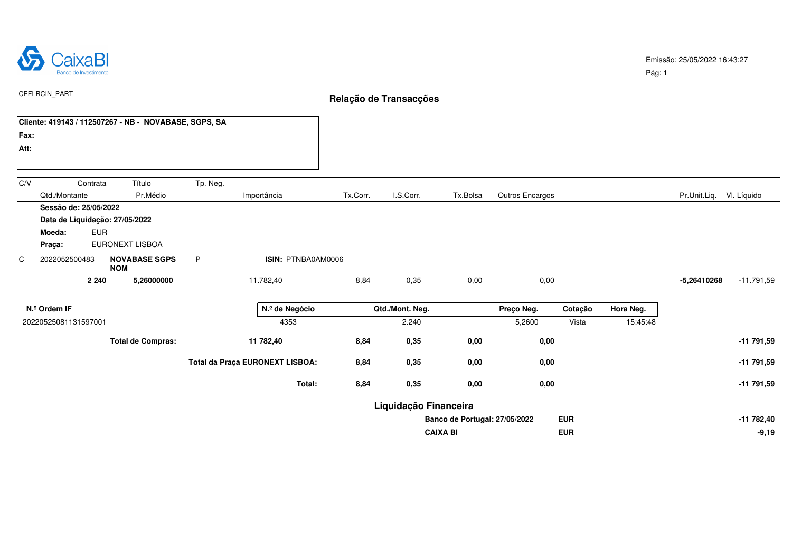

Pág: 1

**CAIXA BI EUR -9,19**

|      | <b>CEFLRCIN PART</b>                                  |                                                               |                                 |                | Relação de Transacções |                       |                               |                 |            |           |                          |              |  |
|------|-------------------------------------------------------|---------------------------------------------------------------|---------------------------------|----------------|------------------------|-----------------------|-------------------------------|-----------------|------------|-----------|--------------------------|--------------|--|
|      | Cliente: 419143 / 112507267 - NB - NOVABASE, SGPS, SA |                                                               |                                 |                |                        |                       |                               |                 |            |           |                          |              |  |
| Fax: |                                                       |                                                               |                                 |                |                        |                       |                               |                 |            |           |                          |              |  |
| Att: |                                                       |                                                               |                                 |                |                        |                       |                               |                 |            |           |                          |              |  |
| C/V  | Contrata                                              | Título                                                        | Tp. Neg.                        |                |                        |                       |                               |                 |            |           |                          |              |  |
|      | Qtd./Montante                                         | Pr.Médio                                                      |                                 | Importância    | Tx.Corr.               | I.S.Corr.             | Tx.Bolsa                      | Outros Encargos |            |           | Pr.Unit.Liq. VI. Líquido |              |  |
|      | Sessão de: 25/05/2022                                 |                                                               |                                 |                |                        |                       |                               |                 |            |           |                          |              |  |
|      | Data de Liquidação: 27/05/2022                        |                                                               |                                 |                |                        |                       |                               |                 |            |           |                          |              |  |
|      | <b>EUR</b><br>Moeda:                                  |                                                               |                                 |                |                        |                       |                               |                 |            |           |                          |              |  |
|      | Praça:                                                | EURONEXT LISBOA                                               |                                 |                |                        |                       |                               |                 |            |           |                          |              |  |
| C    | 2022052500483                                         | ISIN: PTNBA0AM0006<br><b>NOVABASE SGPS</b><br>P<br><b>NOM</b> |                                 |                |                        |                       |                               |                 |            |           |                          |              |  |
|      | 2 2 4 0                                               | 5,26000000                                                    |                                 | 11.782,40      | 8,84                   | 0,35                  | 0,00                          | 0,00            |            |           | -5,26410268              | $-11.791,59$ |  |
|      | N.º Ordem IF                                          |                                                               |                                 | N.º de Negócio |                        | Qtd./Mont. Neg.       |                               | Preço Neg.      | Cotação    | Hora Neg. |                          |              |  |
|      | 20220525081131597001                                  |                                                               |                                 | 4353           |                        | 2.240                 |                               | 5,2600          | Vista      | 15:45:48  |                          |              |  |
|      |                                                       | <b>Total de Compras:</b>                                      |                                 | 11 782,40      | 8,84                   | 0,35                  | 0,00                          | 0,00            |            |           |                          | $-11791,59$  |  |
|      |                                                       |                                                               | Total da Praça EURONEXT LISBOA: | 8,84           | 0,35                   | 0,00                  | 0,00                          |                 |            |           | -11 791,59               |              |  |
|      |                                                       |                                                               |                                 | Total:         | 8,84                   | 0,35                  | 0,00                          | 0,00            |            |           |                          | $-11791,59$  |  |
|      |                                                       |                                                               |                                 |                |                        | Liquidação Financeira |                               |                 |            |           |                          |              |  |
|      |                                                       |                                                               |                                 |                |                        |                       | Banco de Portugal: 27/05/2022 |                 | <b>EUR</b> |           |                          | $-11782,40$  |  |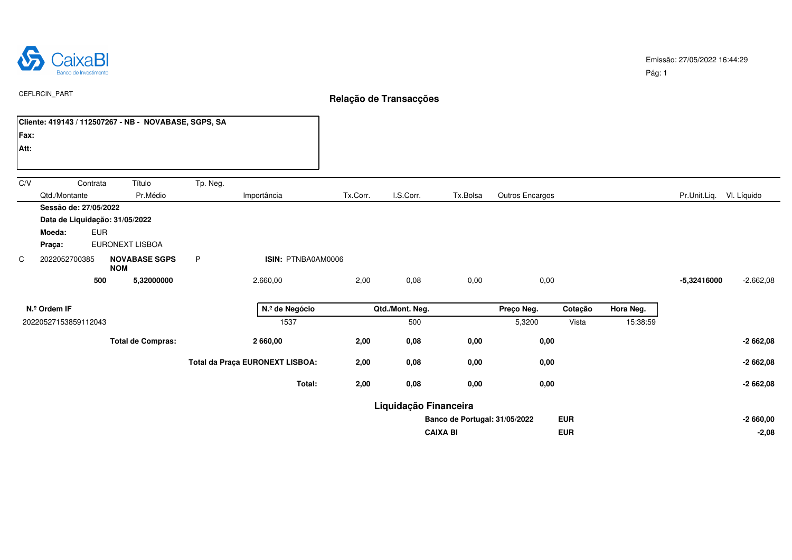

Pág: 1

|              | CEFLRCIN_PART                                                               |                |                                                       |                 |                                 | Relação de Transacções |                       |                               |                 |            |          |                          |             |  |  |  |
|--------------|-----------------------------------------------------------------------------|----------------|-------------------------------------------------------|-----------------|---------------------------------|------------------------|-----------------------|-------------------------------|-----------------|------------|----------|--------------------------|-------------|--|--|--|
|              |                                                                             |                | Cliente: 419143 / 112507267 - NB - NOVABASE, SGPS, SA |                 |                                 |                        |                       |                               |                 |            |          |                          |             |  |  |  |
| Fax:         |                                                                             |                |                                                       |                 |                                 |                        |                       |                               |                 |            |          |                          |             |  |  |  |
| Att:         |                                                                             |                |                                                       |                 |                                 |                        |                       |                               |                 |            |          |                          |             |  |  |  |
| C/V          |                                                                             | Contrata       | Título                                                | Tp. Neg.        |                                 |                        |                       |                               |                 |            |          |                          |             |  |  |  |
|              | Qtd./Montante                                                               |                | Pr.Médio                                              |                 | Importância                     | Tx.Corr.               | I.S.Corr.             | Tx.Bolsa                      | Outros Encargos |            |          | Pr.Unit.Liq. VI. Líquido |             |  |  |  |
|              | Sessão de: 27/05/2022<br>Data de Liquidação: 31/05/2022<br>Moeda:<br>Praça: | <b>EUR</b>     | EURONEXT LISBOA                                       |                 |                                 |                        |                       |                               |                 |            |          |                          |             |  |  |  |
| C            | 2022052700385                                                               |                | <b>NOVABASE SGPS</b><br><b>NOM</b>                    | P               | ISIN: PTNBA0AM0006              |                        |                       |                               |                 |            |          |                          |             |  |  |  |
|              |                                                                             | 500            | 5,32000000                                            |                 | 2.660,00                        | 2,00                   | 0,08                  | 0,00                          | 0,00            |            |          | -5,32416000              | $-2.662,08$ |  |  |  |
| N.º Ordem IF |                                                                             | N.º de Negócio |                                                       | Qtd./Mont. Neg. |                                 | Preço Neg.             | Cotação               | Hora Neg.                     |                 |            |          |                          |             |  |  |  |
|              | 20220527153859112043                                                        |                |                                                       |                 | 1537                            |                        | 500                   |                               | 5,3200          | Vista      | 15:38:59 |                          |             |  |  |  |
|              |                                                                             |                | <b>Total de Compras:</b>                              |                 | 2 660,00                        | 2,00                   | 0,08                  | 0,00                          | 0,00            |            |          |                          | $-2662,08$  |  |  |  |
|              |                                                                             |                |                                                       |                 | Total da Praça EURONEXT LISBOA: | 2,00                   | 0,08                  | 0,00                          | 0,00            |            |          |                          | $-2662,08$  |  |  |  |
|              |                                                                             |                |                                                       |                 | Total:                          | 2,00                   | 0,08                  | 0,00                          | 0,00            |            |          |                          | $-2662,08$  |  |  |  |
|              |                                                                             |                |                                                       |                 |                                 |                        | Liquidação Financeira |                               |                 |            |          |                          |             |  |  |  |
|              |                                                                             |                |                                                       |                 |                                 |                        |                       | Banco de Portugal: 31/05/2022 |                 | <b>EUR</b> |          |                          | $-2660,00$  |  |  |  |
|              |                                                                             |                |                                                       |                 |                                 |                        | <b>CAIXA BI</b>       |                               | <b>EUR</b>      |            |          | $-2,08$                  |             |  |  |  |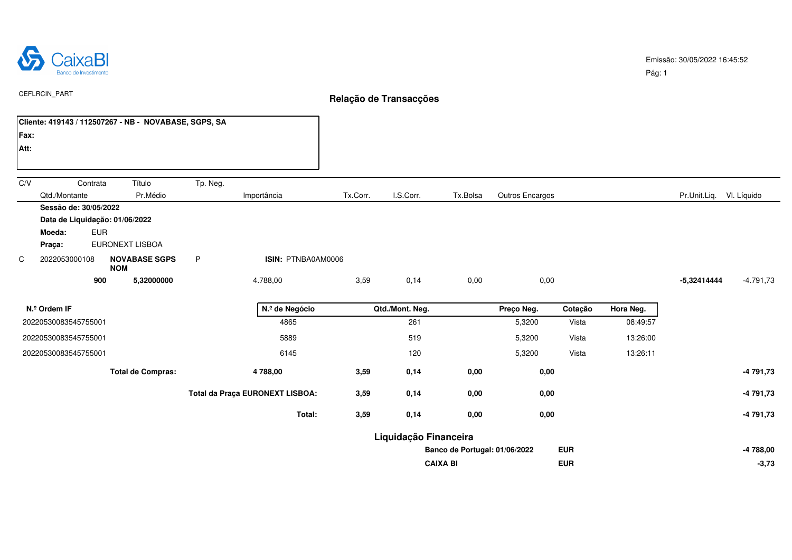

 $\overline{\phantom{a}}$ 

Pág: 1

|                                | CEFLRCIN_PART                                                                             |                                    |          |                                 | Relação de Transacções |                       |                               |                 |            |           |                          |             |  |  |  |
|--------------------------------|-------------------------------------------------------------------------------------------|------------------------------------|----------|---------------------------------|------------------------|-----------------------|-------------------------------|-----------------|------------|-----------|--------------------------|-------------|--|--|--|
|                                | Cliente: 419143 / 112507267 - NB - NOVABASE, SGPS, SA                                     |                                    |          |                                 |                        |                       |                               |                 |            |           |                          |             |  |  |  |
| Fax:                           |                                                                                           |                                    |          |                                 |                        |                       |                               |                 |            |           |                          |             |  |  |  |
| Att:                           |                                                                                           |                                    |          |                                 |                        |                       |                               |                 |            |           |                          |             |  |  |  |
|                                |                                                                                           |                                    |          |                                 |                        |                       |                               |                 |            |           |                          |             |  |  |  |
| C/V                            | Contrata                                                                                  | Título                             | Tp. Neg. |                                 |                        |                       |                               |                 |            |           |                          |             |  |  |  |
|                                | Qtd./Montante                                                                             | Pr.Médio                           |          | Importância                     | Tx.Corr.               | I.S.Corr.             | Tx.Bolsa                      | Outros Encargos |            |           | Pr.Unit.Liq. VI. Líquido |             |  |  |  |
|                                | Sessão de: 30/05/2022<br>Data de Liquidação: 01/06/2022<br><b>EUR</b><br>Moeda:<br>Praça: | EURONEXT LISBOA                    |          |                                 |                        |                       |                               |                 |            |           |                          |             |  |  |  |
| C                              | 2022053000108                                                                             | <b>NOVABASE SGPS</b><br><b>NOM</b> | P        | ISIN: PTNBA0AM0006              |                        |                       |                               |                 |            |           |                          |             |  |  |  |
|                                | 900                                                                                       | 5,32000000                         |          | 4.788,00                        | 3,59                   | 0,14                  | 0,00                          | 0,00            |            |           | $-5,32414444$            | $-4.791,73$ |  |  |  |
| N.º de Negócio<br>N.º Ordem IF |                                                                                           |                                    |          |                                 |                        | Qtd./Mont. Neg.       |                               | Preço Neg.      | Cotação    | Hora Neg. |                          |             |  |  |  |
|                                | 20220530083545755001                                                                      |                                    |          | 4865                            |                        | 261                   |                               | 5,3200          | Vista      | 08:49:57  |                          |             |  |  |  |
|                                | 20220530083545755001                                                                      |                                    |          | 5889                            |                        | 519                   |                               | 5,3200          | Vista      | 13:26:00  |                          |             |  |  |  |
| 20220530083545755001           |                                                                                           |                                    |          | 6145                            |                        | 120                   |                               | 5,3200          | Vista      | 13:26:11  |                          |             |  |  |  |
|                                |                                                                                           | <b>Total de Compras:</b>           |          | 4 788,00                        | 3,59                   | 0,14                  | 0,00                          | 0,00            |            |           |                          | $-4791,73$  |  |  |  |
|                                |                                                                                           |                                    |          | Total da Praça EURONEXT LISBOA: | 3,59                   | 0,14                  | 0,00                          | 0,00            |            |           |                          | -4 791,73   |  |  |  |
|                                |                                                                                           |                                    |          | Total:                          | 3,59                   | 0,14                  | 0,00                          | 0,00            |            |           |                          | $-4791,73$  |  |  |  |
|                                |                                                                                           |                                    |          |                                 |                        | Liquidação Financeira |                               |                 |            |           |                          |             |  |  |  |
|                                |                                                                                           |                                    |          |                                 |                        |                       | Banco de Portugal: 01/06/2022 |                 | <b>EUR</b> |           |                          | -4 788,00   |  |  |  |
|                                |                                                                                           |                                    |          |                                 |                        |                       | <b>CAIXA BI</b>               |                 | <b>EUR</b> |           |                          | $-3,73$     |  |  |  |